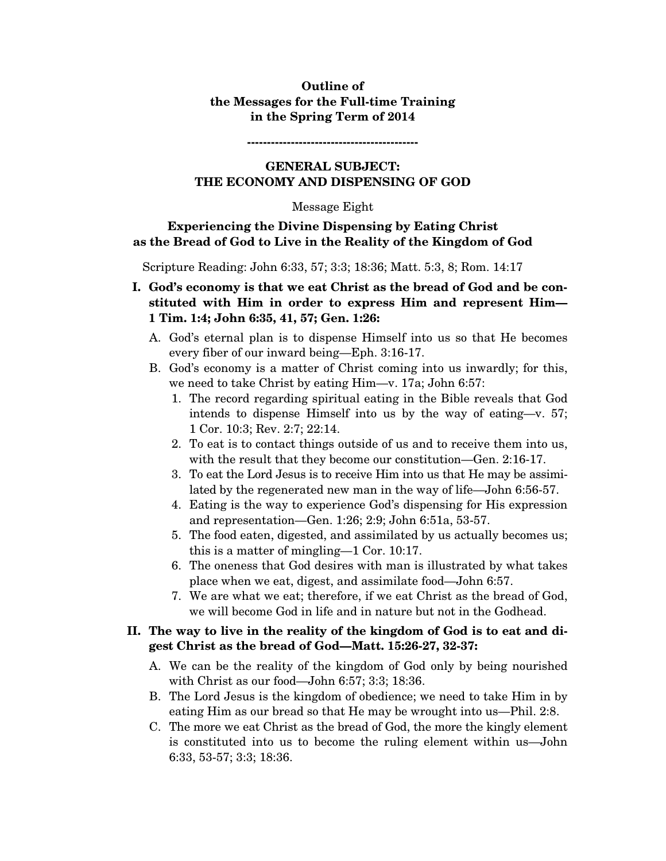# **Outline of the Messages for the Full-time Training in the Spring Term of 2014**

# **GENERAL SUBJECT: THE ECONOMY AND DISPENSING OF GOD**

**-------------------------------------------** 

#### Message Eight

# **Experiencing the Divine Dispensing by Eating Christ as the Bread of God to Live in the Reality of the Kingdom of God**

Scripture Reading: John 6:33, 57; 3:3; 18:36; Matt. 5:3, 8; Rom. 14:17

- **I. God's economy is that we eat Christ as the bread of God and be constituted with Him in order to express Him and represent Him— 1 Tim. 1:4; John 6:35, 41, 57; Gen. 1:26:** 
	- A. God's eternal plan is to dispense Himself into us so that He becomes every fiber of our inward being—Eph. 3:16-17.
	- B. God's economy is a matter of Christ coming into us inwardly; for this, we need to take Christ by eating Him—v. 17a; John 6:57:
		- 1. The record regarding spiritual eating in the Bible reveals that God intends to dispense Himself into us by the way of eating—v. 57; 1 Cor. 10:3; Rev. 2:7; 22:14.
		- 2. To eat is to contact things outside of us and to receive them into us, with the result that they become our constitution—Gen. 2:16-17.
		- 3. To eat the Lord Jesus is to receive Him into us that He may be assimilated by the regenerated new man in the way of life—John 6:56-57.
		- 4. Eating is the way to experience God's dispensing for His expression and representation—Gen. 1:26; 2:9; John 6:51a, 53-57.
		- 5. The food eaten, digested, and assimilated by us actually becomes us; this is a matter of mingling—1 Cor. 10:17.
		- 6. The oneness that God desires with man is illustrated by what takes place when we eat, digest, and assimilate food—John 6:57.
		- 7. We are what we eat; therefore, if we eat Christ as the bread of God, we will become God in life and in nature but not in the Godhead.

# **II. The way to live in the reality of the kingdom of God is to eat and digest Christ as the bread of God—Matt. 15:26-27, 32-37:**

- A. We can be the reality of the kingdom of God only by being nourished with Christ as our food—John 6:57; 3:3; 18:36.
- B. The Lord Jesus is the kingdom of obedience; we need to take Him in by eating Him as our bread so that He may be wrought into us—Phil. 2:8.
- C. The more we eat Christ as the bread of God, the more the kingly element is constituted into us to become the ruling element within us—John 6:33, 53-57; 3:3; 18:36.